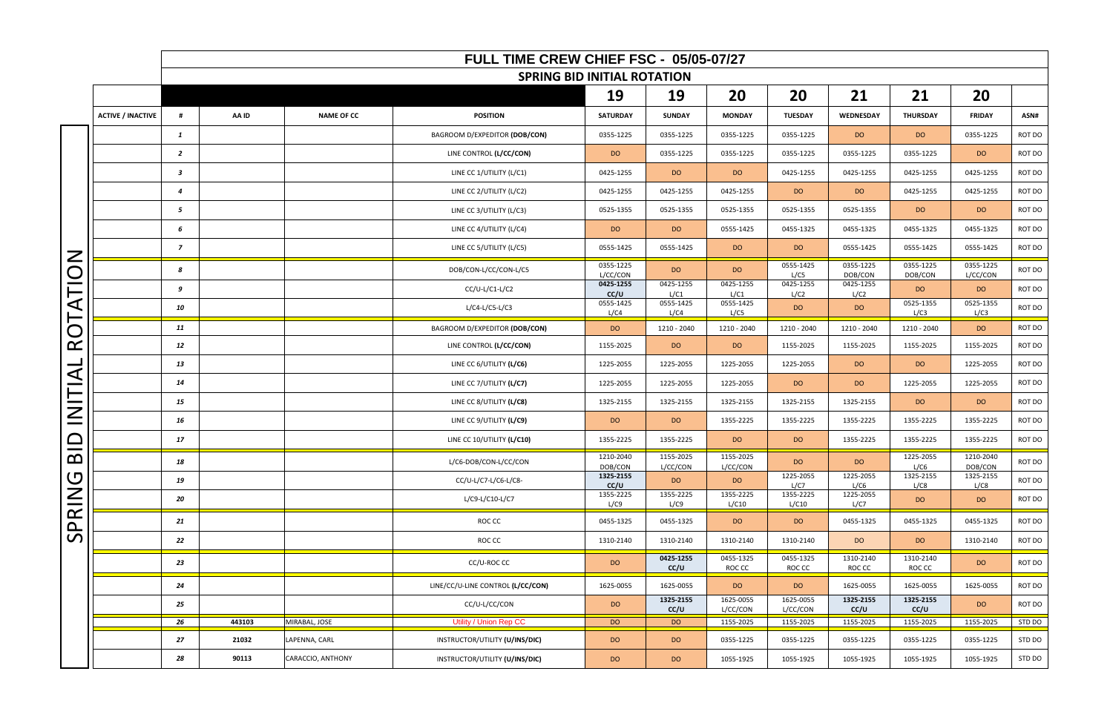|                                                                 |                          |                         |        |                   | FULL TIME CREW CHIEF FSC - 05/05-07/27 |                       |                       |                       |                       |                      |                      |                       |        |
|-----------------------------------------------------------------|--------------------------|-------------------------|--------|-------------------|----------------------------------------|-----------------------|-----------------------|-----------------------|-----------------------|----------------------|----------------------|-----------------------|--------|
|                                                                 |                          |                         |        |                   | <b>SPRING BID INITIAL ROTATION</b>     |                       |                       |                       |                       |                      |                      |                       |        |
|                                                                 |                          |                         |        |                   |                                        | 19                    | 19                    | 20                    | 20                    | 21                   | 21                   | 20                    |        |
|                                                                 | <b>ACTIVE / INACTIVE</b> | #                       | AA ID  | <b>NAME OF CC</b> | <b>POSITION</b>                        | <b>SATURDAY</b>       | <b>SUNDAY</b>         | <b>MONDAY</b>         | <b>TUESDAY</b>        | WEDNESDAY            | THURSDAY             | <b>FRIDAY</b>         | ASN#   |
|                                                                 |                          | $\mathbf{1}$            |        |                   | BAGROOM D/EXPEDITOR (DOB/CON)          | 0355-1225             | 0355-1225             | 0355-1225             | 0355-1225             | DO                   | DO                   | 0355-1225             | ROT DO |
|                                                                 |                          | $\overline{2}$          |        |                   | LINE CONTROL (L/CC/CON)                | DO                    | 0355-1225             | 0355-1225             | 0355-1225             | 0355-1225            | 0355-1225            | <b>DO</b>             | ROT DO |
|                                                                 |                          | $\overline{\mathbf{3}}$ |        |                   | LINE CC 1/UTILITY (L/C1)               | 0425-1255             | DO                    | <b>DO</b>             | 0425-1255             | 0425-1255            | 0425-1255            | 0425-1255             | ROT DO |
|                                                                 |                          | $\overline{4}$          |        |                   | LINE CC 2/UTILITY (L/C2)               | 0425-1255             | 0425-1255             | 0425-1255             | DO                    | <b>DO</b>            | 0425-1255            | 0425-1255             | ROT DO |
|                                                                 |                          | 5                       |        |                   | LINE CC 3/UTILITY (L/C3)               | 0525-1355             | 0525-1355             | 0525-1355             | 0525-1355             | 0525-1355            | DO                   | DO                    | ROT DO |
|                                                                 |                          | 6                       |        |                   | LINE CC 4/UTILITY (L/C4)               | DO                    | DO                    | 0555-1425             | 0455-1325             | 0455-1325            | 0455-1325            | 0455-1325             | ROT DO |
| $\mathsf{Z}$                                                    |                          | $\overline{z}$          |        |                   | LINE CC 5/UTILITY (L/C5)               | 0555-1425             | 0555-1425             | <b>DO</b>             | DO                    | 0555-1425            | 0555-1425            | 0555-1425             | ROT DO |
| Q                                                               |                          | 8                       |        |                   | DOB/CON-L/CC/CON-L/C5                  | 0355-1225<br>L/CC/CON | DO                    | DO                    | 0555-1425<br>L/C5     | 0355-1225<br>DOB/CON | 0355-1225<br>DOB/CON | 0355-1225<br>L/CC/CON | ROT DO |
| $\vdash$                                                        |                          | 9                       |        |                   | $CC/U-L/C1-L/C2$                       | 0425-1255<br>CC/U     | 0425-1255<br>L/C1     | 0425-1255<br>L/C1     | 0425-1255<br>L/C2     | 0425-1255<br>L/C2    | <b>DO</b>            | <b>DO</b>             | ROT DO |
| $\blacktriangleleft$<br>$\vdash$<br>$\overline{O}$<br>$\propto$ |                          | 10                      |        |                   | $L/C4-L/C5-L/C3$                       | 0555-1425<br>L/C4     | 0555-1425<br>L/C4     | 0555-1425<br>L/C5     | DO                    | DO                   | 0525-1355<br>L/C3    | 0525-1355<br>L/C3     | ROT DO |
|                                                                 |                          | 11                      |        |                   | BAGROOM D/EXPEDITOR (DOB/CON)          | DO                    | 1210 - 2040           | 1210 - 2040           | 1210 - 2040           | 1210 - 2040          | 1210 - 2040          | DO                    | ROT DO |
|                                                                 |                          | 12                      |        |                   | LINE CONTROL (L/CC/CON)                | 1155-2025             | DO                    | DO                    | 1155-2025             | 1155-2025            | 1155-2025            | 1155-2025             | ROT DO |
| _<br>$\blacktriangleleft$                                       |                          | 13                      |        |                   | LINE CC 6/UTILITY (L/C6)               | 1225-2055             | 1225-2055             | 1225-2055             | 1225-2055             | DO                   | DO                   | 1225-2055             | ROT DO |
| $\overline{\phantom{a}}$                                        |                          | 14                      |        |                   | LINE CC 7/UTILITY (L/C7)               | 1225-2055             | 1225-2055             | 1225-2055             | DO                    | DO                   | 1225-2055            | 1225-2055             | ROT DO |
| $\equiv$<br>Z                                                   |                          | 15                      |        |                   | LINE CC 8/UTILITY (L/C8)               | 1325-2155             | 1325-2155             | 1325-2155             | 1325-2155             | 1325-2155            | DO                   | DO                    | ROT DO |
|                                                                 |                          | 16                      |        |                   | LINE CC 9/UTILITY (L/C9)               | DO                    | DO                    | 1355-2225             | 1355-2225             | 1355-2225            | 1355-2225            | 1355-2225             | ROT DO |
| $\Box$<br>__                                                    |                          | 17                      |        |                   | LINE CC 10/UTILITY (L/C10)             | 1355-2225             | 1355-2225             | <b>DO</b>             | DO                    | 1355-2225            | 1355-2225            | 1355-2225             | ROT DO |
| $\mathbf{\Omega}$                                               |                          | 18                      |        |                   | L/C6-DOB/CON-L/CC/CON                  | 1210-2040<br>DOB/CON  | 1155-2025<br>L/CC/CON | 1155-2025<br>L/CC/CON | <b>DO</b>             | <b>DO</b>            | 1225-2055<br>L/C6    | 1210-2040<br>DOB/CON  | ROT DO |
| $\bigcirc$                                                      |                          | 19                      |        |                   | CC/U-L/C7-L/C6-L/C8-                   | 1325-2155<br>CC/U     | <b>DO</b>             | <b>DO</b>             | 1225-2055<br>L/C7     | 1225-2055<br>L/C6    | 1325-2155<br>L/C8    | 1325-2155<br>L/C8     | ROT DO |
| $\overline{\leq}$                                               |                          | 20                      |        |                   | L/C9-L/C10-L/C7                        | 1355-2225<br>L/C9     | 1355-2225<br>L/C9     | 1355-2225<br>L/C10    | 1355-2225<br>L/C10    | 1225-2055<br>L/C7    | DO                   | DO                    | ROT DO |
| $\propto$<br>$\Delta$                                           |                          | 21                      |        |                   | ROC CC                                 | 0455-1325             | 0455-1325             | DO                    | DO                    | 0455-1325            | 0455-1325            | 0455-1325             | ROT DO |
| $\mathcal{L}$                                                   |                          | 22                      |        |                   | ROC CC                                 | 1310-2140             | 1310-2140             | 1310-2140             | 1310-2140             | <b>DO</b>            | DO                   | 1310-2140             | ROT DO |
|                                                                 |                          | 23                      |        |                   | CC/U-ROC CC                            | <b>DO</b>             | 0425-1255<br>CC/U     | 0455-1325<br>ROC CC   | 0455-1325<br>ROC CC   | 1310-2140<br>ROC CC  | 1310-2140<br>ROC CC  | <b>DO</b>             | ROT DO |
|                                                                 |                          | 24                      |        |                   | LINE/CC/U-LINE CONTROL (L/CC/CON)      | 1625-0055             | 1625-0055             | DO                    | DO                    | 1625-0055            | 1625-0055            | 1625-0055             | ROT DO |
|                                                                 |                          | 25                      |        |                   | CC/U-L/CC/CON                          | <b>DO</b>             | 1325-2155<br>CC/U     | 1625-0055<br>L/CC/CON | 1625-0055<br>L/CC/CON | 1325-2155<br>CC/U    | 1325-2155<br>CC/U    | <b>DO</b>             | ROT DO |
|                                                                 |                          | 26                      | 443103 | MIRABAL, JOSE     | Utility / Union Rep CC                 | <b>DO</b>             | DO                    | 1155-2025             | 1155-2025             | 1155-2025            | 1155-2025            | 1155-2025             | STD DO |
|                                                                 |                          | 27                      | 21032  | LAPENNA, CARL     | INSTRUCTOR/UTILITY (U/INS/DIC)         | DO                    | DO                    | 0355-1225             | 0355-1225             | 0355-1225            | 0355-1225            | 0355-1225             | STD DO |
|                                                                 |                          | 28                      | 90113  | CARACCIO, ANTHONY | INSTRUCTOR/UTILITY (U/INS/DIC)         | DO                    | <b>DO</b>             | 1055-1925             | 1055-1925             | 1055-1925            | 1055-1925            | 1055-1925             | STD DO |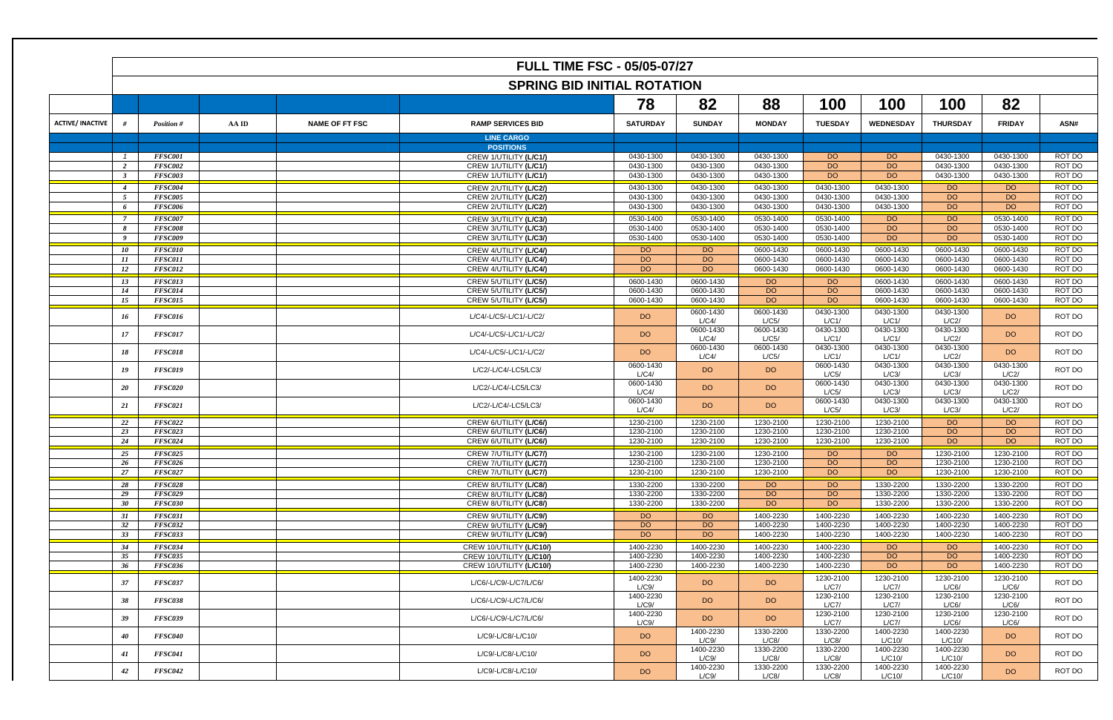|                         | <b>SPRING BID INITIAL ROTATION</b> |                                  |       |                       |                                                  |                        |                        |                        |                        |                        |                        |                        |                  |
|-------------------------|------------------------------------|----------------------------------|-------|-----------------------|--------------------------------------------------|------------------------|------------------------|------------------------|------------------------|------------------------|------------------------|------------------------|------------------|
|                         |                                    |                                  |       |                       |                                                  | 78                     | 82                     | 88                     | 100                    | 100                    | 100                    | 82                     |                  |
| <b>ACTIVE/ INACTIVE</b> |                                    | Position #                       | AA ID | <b>NAME OF FT FSC</b> | <b>RAMP SERVICES BID</b>                         | <b>SATURDAY</b>        | <b>SUNDAY</b>          | <b>MONDAY</b>          | <b>TUESDAY</b>         | <b>WEDNESDAY</b>       | <b>THURSDAY</b>        | <b>FRIDAY</b>          | ASN#             |
|                         |                                    |                                  |       |                       | <b>LINE CARGO</b>                                |                        |                        |                        |                        |                        |                        |                        |                  |
|                         |                                    |                                  |       |                       | <b>POSITIONS</b>                                 |                        |                        |                        |                        |                        |                        |                        |                  |
|                         | $\overline{1}$                     | <b>FFSC001</b><br>FFSC002        |       |                       | CREW 1/UTILITY (L/C1/)<br>CREW 1/UTILITY (L/C1/) | 0430-1300<br>0430-1300 | 0430-1300<br>0430-1300 | 0430-1300<br>0430-1300 | <b>DO</b><br><b>DO</b> | <b>DO</b><br><b>DO</b> | 0430-1300<br>0430-1300 | 0430-1300<br>0430-1300 | ROT DO<br>ROT DO |
|                         | <sup>2</sup><br>$\mathbf{3}$       | <b>FFSC003</b>                   |       |                       | CREW 1/UTILITY (L/C1/)                           | 0430-1300              | 0430-1300              | 0430-1300              | DO                     | <b>DO</b>              | 0430-1300              | 0430-1300              | ROT DO           |
|                         |                                    |                                  |       |                       |                                                  |                        |                        |                        |                        |                        |                        |                        |                  |
|                         | $\overline{4}$                     | FFSC004                          |       |                       | CREW 2/UTILITY (L/C2/)                           | 0430-1300              | 0430-1300              | 0430-1300              | 0430-1300              | 0430-1300              | DO                     | <b>DO</b>              | ROT DO           |
|                         | 5<br>6                             | <b>FFSC005</b><br><b>FFSC006</b> |       |                       | CREW 2/UTILITY (L/C2/)<br>CREW 2/UTILITY (L/C2/) | 0430-1300<br>0430-1300 | 0430-1300<br>0430-1300 | 0430-1300<br>0430-1300 | 0430-1300<br>0430-1300 | 0430-1300<br>0430-1300 | <b>DO</b><br><b>DO</b> | <b>DO</b><br>DO        | ROT DO<br>ROT DO |
|                         |                                    |                                  |       |                       |                                                  |                        |                        |                        |                        |                        |                        |                        |                  |
|                         | - 7                                | FFSC007                          |       |                       | CREW 3/UTILITY (L/C3/)                           | 0530-1400              | 0530-1400              | 0530-1400              | 0530-1400              | DO                     | <b>DO</b>              | 0530-1400              | ROT DO           |
|                         | 8                                  | <b>FFSC008</b>                   |       |                       | CREW 3/UTILITY (L/C3/)                           | 0530-1400              | 0530-1400<br>0530-1400 | 0530-1400              | 0530-1400              | DO                     | DO                     | 0530-1400              | ROT DO           |
|                         | 9                                  | <b>FFSC009</b>                   |       |                       | CREW 3/UTILITY (L/C3/)                           | 0530-1400              |                        | 0530-1400              | 0530-1400              | <b>DO</b>              | <b>DO</b>              | 0530-1400              | ROT DO           |
|                         | 10                                 | <b>FFSC010</b>                   |       |                       | CREW 4/UTILITY (L/C4/)                           | DO                     | DO                     | 0600-1430              | 0600-1430              | 0600-1430              | 0600-1430              | 0600-1430              | ROT DO           |
|                         | 11                                 | <b>FFSC011</b>                   |       |                       | CREW 4/UTILITY (L/C4/)                           | <b>DO</b>              | <b>DO</b>              | 0600-1430              | 0600-1430              | 0600-1430              | 0600-1430              | 0600-1430              | ROT DO           |
|                         | $12^{\circ}$                       | <b>FFSC012</b>                   |       |                       | CREW 4/UTILITY (L/C4/)                           | <b>DO</b>              | DO                     | 0600-1430              | 0600-1430              | 0600-1430              | 0600-1430              | 0600-1430              | ROT DO           |
|                         | 13                                 | <b>FFSC013</b>                   |       |                       | CREW 5/UTILITY (L/C5/)                           | 0600-1430              | 0600-1430              | DO <sub>1</sub>        | <b>DO</b>              | 0600-1430              | 0600-1430              | 0600-1430              | ROT DO           |
|                         | 14                                 | <b>FFSC014</b>                   |       |                       | CREW 5/UTILITY (L/C5/)                           | 0600-1430              | 0600-1430              | <b>DO</b>              | <b>DO</b>              | 0600-1430              | 0600-1430              | 0600-1430              | ROT DO           |
|                         | 15                                 | <b>FFSC015</b>                   |       |                       | CREW 5/UTILITY (L/C5/)                           | 0600-1430              | 0600-1430              | <b>DO</b>              | <b>DO</b>              | 0600-1430              | 0600-1430              | 0600-1430              | ROT DO           |
|                         | 16                                 | <b>FFSC016</b>                   |       |                       | L/C4/-L/C5/-L/C1/-L/C2/                          | DO                     | 0600-1430<br>L/C4/     | 0600-1430<br>L/C5/     | 0430-1300<br>L/C1/     | 0430-1300<br>L/C1/     | 0430-1300<br>L/C2/     | DO                     | ROT DO           |
|                         | 17                                 | <b>FFSC017</b>                   |       |                       | L/C4/-L/C5/-L/C1/-L/C2/                          | DO                     | 0600-1430<br>L/C4/     | 0600-1430<br>L/C5/     | 0430-1300<br>L/C1/     | 0430-1300<br>L/C1/     | 0430-1300<br>L/C2/     | DO                     | ROT DO           |
|                         | 18                                 | <b>FFSC018</b>                   |       |                       | L/C4/-L/C5/-L/C1/-L/C2/                          | DO                     | 0600-1430              | 0600-1430              | 0430-1300              | 0430-1300              | 0430-1300              | DO                     | ROT DO           |
|                         |                                    |                                  |       |                       |                                                  |                        | L/C4/                  | L/C5/                  | L/C1/<br>0600-1430     | L/C1/                  | L/C2/                  | 0430-1300              |                  |
|                         | 19                                 | FFSC019                          |       |                       | L/C2/-L/C4/-LC5/LC3/                             | 0600-1430<br>L/C4/     | DO                     | DO.                    | L/C5/                  | 0430-1300<br>L/C3/     | 0430-1300<br>L/C3/     | L/C2/                  | ROT DO           |
|                         |                                    |                                  |       |                       |                                                  | 0600-1430              |                        |                        | 0600-1430              | 0430-1300              | 0430-1300              | 0430-1300              |                  |
|                         | 20                                 | FFSC020                          |       |                       | L/C2/-L/C4/-LC5/LC3/                             | L/C4/                  | DO                     | DO.                    | L/C5/                  | L/C3/                  | L/C3/                  | L/C2/                  | ROT DO           |
|                         | 21                                 | <b>FFSC021</b>                   |       |                       | L/C2/-L/C4/-LC5/LC3/                             | 0600-1430              | DO                     | DO.                    | 0600-1430              | 0430-1300              | 0430-1300              | 0430-1300              | ROT DO           |
|                         |                                    |                                  |       |                       |                                                  | L/C4/                  |                        |                        | L/C5/                  | L/C3/                  | L/C3/                  | L/C2/                  |                  |
|                         | 22                                 | <b>FFSC022</b>                   |       |                       | CREW 6/UTILITY (L/C6/)                           | 1230-2100              | 1230-2100              | 1230-2100              | 1230-2100              | 1230-2100              | <b>DO</b>              | <b>DO</b>              | ROT DO           |
|                         | 23                                 | <b>FFSC023</b>                   |       |                       | CREW 6/UTILITY (L/C6/)                           | 1230-2100              | 1230-2100              | 1230-2100              | 1230-2100              | 1230-2100              | <b>DO</b>              | <b>DO</b>              | ROT DO           |
|                         | 24                                 | <b>FFSC024</b>                   |       |                       | CREW 6/UTILITY (L/C6/)                           | 1230-2100              | 1230-2100              | 1230-2100              | 1230-2100              | 1230-2100              | <b>DO</b>              | <b>DO</b>              | ROT DO           |
|                         | 25                                 | <b>FFSC025</b>                   |       |                       | CREW 7/UTILITY (L/C7/)                           | 1230-2100              | 1230-2100              | 1230-2100              | <b>DO</b>              | <b>DO</b>              | 1230-2100              | 1230-2100              | ROT DO           |
|                         | 26                                 | FFSC026                          |       |                       | CREW 7/UTILITY (L/C7/)                           | 1230-2100              | 1230-2100              | 1230-2100              | DQ                     | <b>DO</b>              | 1230-2100              | 1230-2100              | ROT DO           |
|                         | 27                                 | <b>FFSC027</b>                   |       |                       | CREW 7/UTILITY (L/C7/)                           | 1230-2100              | 1230-2100              | 1230-2100              | DO                     | <b>DO</b>              | 1230-2100              | 1230-2100              | ROT DO           |
|                         | 28                                 | <i>FFSC028</i>                   |       |                       | CREW 8/UTILITY (LIC8)                            | 1330-2200              | 1330-2200              | DO.                    | DO                     | 1330-2200              | 1330-2200              | 1330-2200              | ROT DO           |
|                         | 29                                 | FFSC029                          |       |                       | CREW 8/UTILITY (L/C8/)                           | 1330-2200              | 1330-2200              | <b>DO</b>              | DO                     | 1330-2200              | 1330-2200              | 1330-2200              | ROT DO           |
|                         | 30                                 | <b>FFSC030</b>                   |       |                       | CREW 8/UTILITY (L/C8/)                           | 1330-2200              | 1330-2200              | DO                     | DO                     | 1330-2200              | 1330-2200              | 1330-2200              | ROT DO           |
|                         | 31                                 | <b>FFSC031</b>                   |       |                       | CREW 9/UTILITY (L/C9/)                           | DO                     | <b>DO</b>              | 1400-2230              | 1400-2230              | 1400-2230              | 1400-2230              | 1400-2230              | ROT DO           |
|                         | 32                                 | <b>FFSC032</b>                   |       |                       | CREW 9/UTILITY (L/C9/)                           | <b>DO</b>              | DO                     | 1400-2230              | 1400-2230              | 1400-2230              | 1400-2230              | 1400-2230              | ROT DO           |
|                         | 33                                 | <b>FFSC033</b>                   |       |                       | CREW 9/UTILITY (L/C9/)                           | <b>DO</b>              | DO                     | 1400-2230              | 1400-2230              | 1400-2230              | 1400-2230              | 1400-2230              | ROT DO           |
|                         | 34                                 | FFSC034                          |       |                       | CREW 10/UTILITY (L/C10/)                         | 1400-2230              | 1400-2230              | 1400-2230              | 1400-2230              | <b>DO</b>              | DQ                     | 1400-2230              | ROT DO           |
|                         | 35                                 | <b>FFSC035</b>                   |       |                       | CREW 10/UTILITY (L/C10/)                         | 1400-2230              | 1400-2230              | 1400-2230              | 1400-2230              | <b>DO</b>              | DO                     | 1400-2230              | ROT DO           |
|                         | 36                                 | FFSC036                          |       |                       | CREW 10/UTILITY (L/C10/)                         | 1400-2230              | 1400-2230              | 1400-2230              | 1400-2230              | DO                     | DO                     | 1400-2230              | ROT DO           |
|                         |                                    |                                  |       |                       |                                                  |                        |                        |                        |                        |                        | 1230-2100              |                        |                  |
|                         | 37                                 | <b>FFSC037</b>                   |       |                       | L/C6/-L/C9/-L/C7/L/C6/                           | 1400-2230<br>L/C9/     | DO                     | DO                     | 1230-2100<br>L/C7/     | 1230-2100<br>L/C7/     | L/C6/                  | 1230-2100<br>L/C6/     | ROT DO           |
|                         | 38                                 | <b>FFSC038</b>                   |       |                       | L/C6/-L/C9/-L/C7/L/C6/                           | 1400-2230<br>L/C9/     | DO                     | DO                     | 1230-2100<br>L/C7/     | 1230-2100<br>L/C7/     | 1230-2100<br>L/C6/     | 1230-2100<br>L/C6/     | ROT DO           |
|                         | 39                                 | FFSC039                          |       |                       | L/C6/-L/C9/-L/C7/L/C6/                           | 1400-2230<br>L/C9/     | DO                     | DO.                    | 1230-2100<br>L/C7/     | 1230-2100<br>L/C7/     | 1230-2100<br>L/C6/     | 1230-2100<br>L/C6/     | ROT DO           |
|                         | 40                                 | FFSC040                          |       |                       | L/C9/-L/C8/-L/C10/                               | DO                     | 1400-2230<br>L/C9/     | 1330-2200<br>L/C8/     | 1330-2200<br>L/C8/     | 1400-2230<br>L/C10/    | 1400-2230<br>L/C10/    | DO                     | ROT DO           |
|                         | 41                                 | <b>FFSC041</b>                   |       |                       | L/C9/-L/C8/-L/C10/                               | DO                     | 1400-2230<br>L/C9/     | 1330-2200<br>L/C8/     | 1330-2200<br>L/C8/     | 1400-2230<br>L/C10/    | 1400-2230<br>L/C10/    | DO                     | ROT DO           |
|                         | 42                                 | <b>FFSC042</b>                   |       |                       | L/C9/-L/C8/-L/C10/                               | <b>DO</b>              | 1400-2230              | 1330-2200              | 1330-2200              | 1400-2230              | 1400-2230              | DO                     | ROT DO           |
|                         |                                    |                                  |       |                       |                                                  |                        | L/C9/                  | L/C8/                  | L/C8/                  | L/C10/                 | L/C10/                 |                        |                  |

|  |  |  | <b>FULL TIME FSC - 05/05-07/27</b> |
|--|--|--|------------------------------------|
|--|--|--|------------------------------------|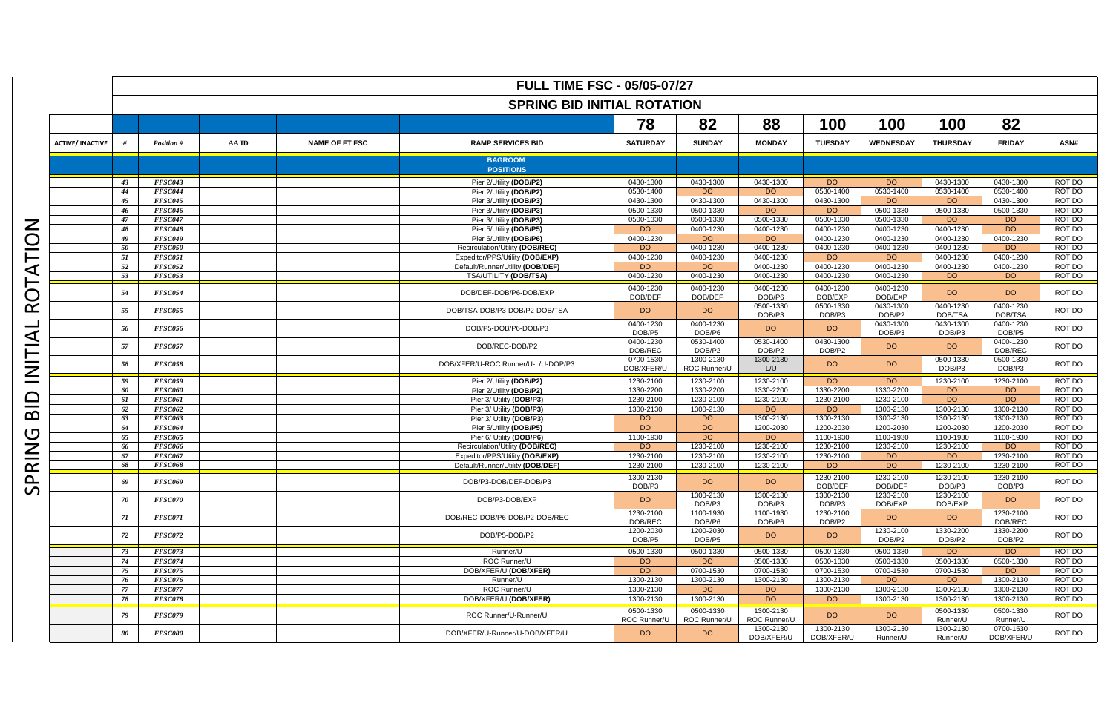|                         | <b>FULL TIME FSC - 05/05-07/27</b> |                           |       |                       |                                                    |                           |                           |                           |                         |                        |                       |                             |                  |
|-------------------------|------------------------------------|---------------------------|-------|-----------------------|----------------------------------------------------|---------------------------|---------------------------|---------------------------|-------------------------|------------------------|-----------------------|-----------------------------|------------------|
|                         | <b>SPRING BID INITIAL ROTATION</b> |                           |       |                       |                                                    |                           |                           |                           |                         |                        |                       |                             |                  |
|                         |                                    |                           |       |                       |                                                    | 78                        | 82                        | 88                        | 100                     | 100                    | 100                   | 82                          |                  |
| <b>ACTIVE/ INACTIVE</b> |                                    | <b>Position #</b>         | AA ID | <b>NAME OF FT FSC</b> | <b>RAMP SERVICES BID</b>                           | <b>SATURDAY</b>           | <b>SUNDAY</b>             | <b>MONDAY</b>             | <b>TUESDAY</b>          | <b>WEDNESDAY</b>       | <b>THURSDAY</b>       | <b>FRIDAY</b>               | ASN#             |
|                         |                                    |                           |       |                       | <b>BAGROOM</b>                                     |                           |                           |                           |                         |                        |                       |                             |                  |
|                         |                                    |                           |       |                       | <b>POSITIONS</b>                                   |                           |                           |                           |                         |                        |                       |                             |                  |
|                         | 43                                 | <b>FFSC043</b>            |       |                       | Pier 2/Utility (DOB/P2)                            | 0430-1300                 | 0430-1300                 | 0430-1300                 | <b>DO</b>               | <b>DO</b>              | 0430-1300             | 0430-1300                   | ROT DO           |
|                         | 44<br>45                           | FFSC044<br><b>FFSC045</b> |       |                       | Pier 2/Utility (DOB/P2)<br>Pier 3/Utility (DOB/P3) | 0530-1400<br>0430-1300    | DO<br>0430-1300           | DO<br>0430-1300           | 0530-1400<br>0430-1300  | 0530-1400<br><b>DO</b> | 0530-1400<br>DO.      | 0530-1400<br>0430-1300      | ROT DO<br>ROT DO |
|                         | 46                                 | <b>FFSC046</b>            |       |                       | Pier 3/Utility (DOB/P3)                            | 0500-1330                 | 0500-1330                 | DO <sub>1</sub>           | DO.                     | 0500-1330              | 0500-1330             | 0500-1330                   | ROT DO           |
|                         | 47                                 | <b>FFSC047</b>            |       |                       | Pier 3/Utility (DOB/P3)                            | 0500-1330                 | 0500-1330                 | 0500-1330                 | 0500-1330               | 0500-1330              | <b>DO</b>             | DO.                         | ROT DO           |
|                         | 48                                 | <b>FFSC048</b>            |       |                       | Pier 5/Utility (DOB/P5)                            | DO                        | 0400-1230                 | 0400-1230                 | 0400-1230               | 0400-1230              | 0400-1230             | DO.                         | ROT DO           |
|                         | 49                                 | <b>FFSC049</b>            |       |                       | Pier 6/Utility (DOB/P6)                            | 0400-1230                 | DO                        | DO.                       | 0400-1230               | 0400-1230              | 0400-1230             | 0400-1230                   | ROT DO           |
|                         | 50                                 | <b>FFSC050</b>            |       |                       | Recirculation/Utility (DOB/REC)                    | DO                        | 0400-1230                 | 0400-1230                 | 0400-1230               | 0400-1230              | 0400-1230             | DO.                         | ROT DO           |
|                         | 51                                 | <b>FFSC051</b>            |       |                       | Expeditor/PPS/Utility (DOB/EXP)                    | 0400-1230                 | 0400-1230                 | 0400-1230                 | <b>DO</b>               | DO                     | 0400-1230             | 0400-1230                   | ROT DO           |
|                         | 52                                 | <b>FFSC052</b>            |       |                       | Default/Runner/Utility (DOB/DEF)                   | DO                        | DO                        | 0400-1230                 | 0400-1230               | 0400-1230              | 0400-1230             | 0400-1230                   | ROT DO           |
|                         | 53                                 | <b>FFSC053</b>            |       |                       | <b>TSA/UTILITY (DOB/TSA)</b>                       | 0400-1230                 | 0400-1230                 | 0400-1230                 | 0400-1230               | 0400-1230              | <b>DO</b>             | DO.                         | ROT DO           |
|                         | 54                                 | FFSC054                   |       |                       | DOB/DEF-DOB/P6-DOB/EXP                             | 0400-1230<br>DOB/DEF      | 0400-1230<br>DOB/DEF      | 0400-1230<br>DOB/P6       | 0400-1230<br>DOB/EXP    | 0400-1230<br>DOB/EXP   | <b>DO</b>             | DO.                         | ROT DO           |
|                         | 55                                 | <b>FFSC055</b>            |       |                       | DOB/TSA-DOB/P3-DOB/P2-DOB/TSA                      | DO                        | DO                        | 0500-1330<br>DOB/P3       | 0500-1330<br>DOB/P3     | 0430-1300<br>DOB/P2    | 0400-1230<br>DOB/TSA  | 0400-1230<br><b>DOB/TSA</b> | ROT DO           |
|                         | 56                                 | FFSC056                   |       |                       | DOB/P5-DOB/P6-DOB/P3                               | 0400-1230<br>DOB/P5       | 0400-1230<br>DOB/P6       | DO                        | DO                      | 0430-1300<br>DOB/P3    | 0430-1300<br>DOB/P3   | 0400-1230<br>DOB/P5         | ROT DO           |
|                         | 57                                 | <b>FFSC057</b>            |       |                       | DOB/REC-DOB/P2                                     | 0400-1230<br>DOB/REC      | 0530-1400<br>DOB/P2       | 0530-1400<br>DOB/P2       | 0430-1300<br>DOB/P2     | DO.                    | DO                    | 0400-1230<br>DOB/REC        | ROT DO           |
|                         | 58                                 | <b>FFSC058</b>            |       |                       | DOB/XFER/U-ROC Runner/U-L/U-DOP/P3                 | 0700-1530<br>DOB/XFER/U   | 1300-2130<br>ROC Runner/U | 1300-2130<br>L/U          | DO                      | DO                     | 0500-1330<br>DOB/P3   | 0500-1330<br>DOB/P3         | ROT DO           |
|                         | 59                                 | <b>FFSC059</b>            |       |                       | Pier 2/Utility (DOB/P2)                            | 1230-2100                 | 1230-2100                 | 1230-2100                 | DO                      | <b>DO</b>              | 1230-2100             | 1230-2100                   | ROT DO           |
|                         | 60                                 | <b>FFSC060</b>            |       |                       | Pier 2/Utility (DOB/P2)                            | 1330-2200                 | 1330-2200                 | 1330-2200                 | 1330-2200               | 1330-2200              | <b>DO</b>             | DO.                         | ROT DO           |
|                         | 61                                 | <b>FFSC061</b>            |       |                       | Pier 3/ Utility (DOB/P3)                           | 1230-2100                 | 1230-2100                 | 1230-2100                 | 1230-2100               | 1230-2100              | <b>DO</b>             | <b>DO</b>                   | ROT DO           |
|                         | 62                                 | <b>FFSC062</b>            |       |                       | Pier 3/ Utility (DOB/P3)                           | 1300-2130                 | 1300-2130                 | DO                        | DO                      | 1300-2130              | 1300-2130             | 1300-2130                   | ROT DO           |
|                         | 63                                 | <b>FFSC063</b>            |       |                       | Pier 3/ Utility (DOB/P3)                           | DO                        | DO.                       | 1300-2130                 | 1300-2130               | 1300-2130              | 1300-2130             | 1300-2130                   | ROT DO           |
|                         | 64                                 | <b>FFSC064</b>            |       |                       | Pier 5/Utility (DOB/P5)                            | DO                        | <b>DO</b>                 | 1200-2030                 | 1200-2030               | 1200-2030              | 1200-2030             | 1200-2030                   | ROT DO           |
|                         | 65                                 | <b>FFSC065</b>            |       |                       | Pier 6/ Utility (DOB/P6)                           | 1100-1930                 | DO.                       | DO.                       | 1100-1930               | 1100-1930              | 1100-1930             | 1100-1930                   | ROT DO           |
|                         | 66                                 | <b>FFSC066</b>            |       |                       | Recirculation/Utility (DOB/REC)                    | DO                        | 1230-2100                 | 1230-2100                 | 1230-2100               | 1230-2100              | 1230-2100             | DO.                         | ROT DO           |
|                         | 67                                 | <b>FFSC067</b>            |       |                       | Expeditor/PPS/Utility (DOB/EXP)                    | 1230-2100                 | 1230-2100                 | 1230-2100                 | 1230-2100               | <b>DO</b>              | <b>DO</b>             | 1230-2100                   | ROT DO           |
|                         | 68                                 | <b>FFSC068</b>            |       |                       | Default/Runner/Utility (DOB/DEF)                   | 1230-2100                 | 1230-2100                 | 1230-2100                 | DO.                     | <b>DO</b>              | 1230-2100             | 1230-2100                   | ROT DO           |
|                         | 69                                 | <b>FFSC069</b>            |       |                       | DOB/P3-DOB/DEF-DOB/P3                              | 1300-2130<br>DOB/P3       | DO                        | DO.                       | 1230-2100<br>DOB/DEF    | 1230-2100<br>DOB/DEF   | 1230-2100<br>DOB/P3   | 1230-2100<br>DOB/P3         | ROT DO           |
|                         | 70                                 | <b>FFSC070</b>            |       |                       | DOB/P3-DOB/EXP                                     | DO                        | 1300-2130<br>DOB/P3       | 1300-2130<br>DOB/P3       | 1300-2130<br>DOB/P3     | 1230-2100<br>DOB/EXP   | 1230-2100<br>DOB/EXP  | DO.                         | ROT DO           |
|                         | 71                                 | <b>FFSC071</b>            |       |                       | DOB/REC-DOB/P6-DOB/P2-DOB/REC                      | 1230-2100<br>DOB/REC      | 1100-1930<br>DOB/P6       | 1100-1930<br>DOB/P6       | 1230-2100<br>DOB/P2     | DO                     | <b>DO</b>             | 1230-2100<br>DOB/REC        | ROT DO           |
|                         | 72                                 | <b>FFSC072</b>            |       |                       | DOB/P5-DOB/P2                                      | 1200-2030<br>DOB/P5       | 1200-2030<br>DOB/P5       | DO                        | DO                      | 1230-2100<br>DOB/P2    | 1330-2200<br>DOB/P2   | 1330-2200<br>DOB/P2         | ROT DO           |
|                         | 73                                 | <b>FFSC073</b>            |       |                       | Runner/U                                           | 0500-1330                 | 0500-1330                 | 0500-1330                 | 0500-1330               | 0500-1330              | <b>DO</b>             | DO.                         | ROT DO           |
|                         | 74                                 | <b>FFSC074</b>            |       |                       | ROC Runner/U                                       | DO                        | DO                        | 0500-1330                 | 0500-1330               | 0500-1330              | 0500-1330             | 0500-1330                   | ROT DO           |
|                         | 75                                 | <b>FFSC075</b>            |       |                       | DOB/XFER/U (DOB/XFER)                              | <b>DO</b>                 | 0700-1530                 | 0700-1530                 | 0700-1530               | 0700-1530              | 0700-1530             | DO.                         | ROT DO           |
|                         | 76                                 | <b>FFSC076</b>            |       |                       | Runner/U                                           | 1300-2130                 | 1300-2130                 | 1300-2130                 | 1300-2130               | DO.                    | <b>DO</b>             | 1300-2130                   | ROT DO           |
|                         | 77                                 | <b>FFSC077</b>            |       |                       | ROC Runner/U                                       | 1300-2130                 | DO                        | <b>DO</b>                 | 1300-2130               | 1300-2130              | 1300-2130             | 1300-2130                   | ROT DO           |
|                         | 78                                 | <b>FFSC078</b>            |       |                       | DOB/XFER/U (DOB/XFER)                              | 1300-2130                 | 1300-2130                 | <b>DO</b>                 | DO                      | 1300-2130              | 1300-2130             | 1300-2130                   | ROT DO           |
|                         | 79                                 | <b>FFSC079</b>            |       |                       | ROC Runner/U-Runner/U                              | 0500-1330<br>ROC Runner/U | 0500-1330<br>ROC Runner/U | 1300-2130<br>ROC Runner/U | DO                      | DO                     | 0500-1330<br>Runner/U | 0500-1330<br>Runner/U       | ROT DO           |
|                         | 80                                 | <b>FFSC080</b>            |       |                       | DOB/XFER/U-Runner/U-DOB/XFER/U                     | DO.                       | DO                        | 1300-2130<br>DOB/XFER/U   | 1300-2130<br>DOB/XFER/U | 1300-2130<br>Runner/U  | 1300-2130<br>Runner/U | 0700-1530<br>DOB/XFER/U     | ROT DO           |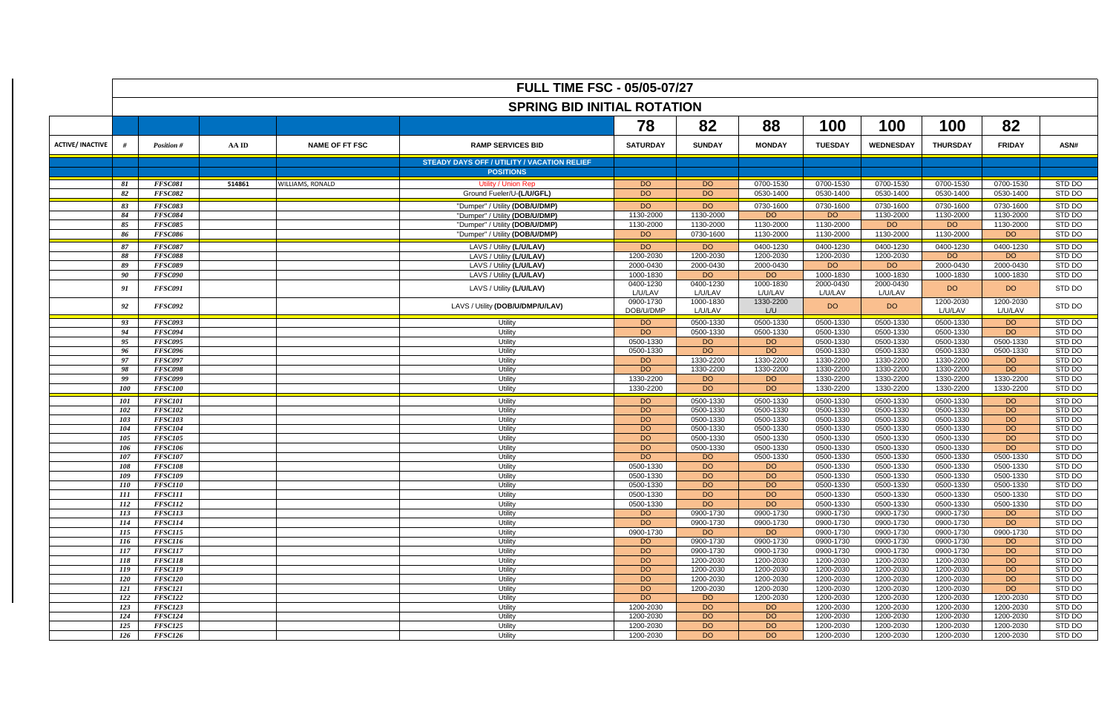|                         | <b>FULL TIME FSC - 05/05-07/27</b> |                                  |        |                       |                                                    |                        |                        |                        |                        |                        |                        |                        |                  |
|-------------------------|------------------------------------|----------------------------------|--------|-----------------------|----------------------------------------------------|------------------------|------------------------|------------------------|------------------------|------------------------|------------------------|------------------------|------------------|
|                         | <b>SPRING BID INITIAL ROTATION</b> |                                  |        |                       |                                                    |                        |                        |                        |                        |                        |                        |                        |                  |
|                         | 82<br>78                           |                                  |        |                       |                                                    |                        |                        |                        |                        | 100                    | 100                    | 82                     |                  |
| <b>ACTIVE/ INACTIVE</b> |                                    | Position #                       | AA ID  | <b>NAME OF FT FSC</b> | <b>RAMP SERVICES BID</b>                           | <b>SATURDAY</b>        | <b>SUNDAY</b>          | <b>MONDAY</b>          | <b>TUESDAY</b>         | <b>WEDNESDAY</b>       | <b>THURSDAY</b>        | <b>FRIDAY</b>          | ASN#             |
|                         |                                    |                                  |        |                       | <b>STEADY DAYS OFF / UTILITY / VACATION RELIEF</b> |                        |                        |                        |                        |                        |                        |                        |                  |
|                         |                                    |                                  |        |                       | <b>POSITIONS</b>                                   |                        |                        |                        |                        |                        |                        |                        |                  |
|                         | 81                                 | FFSC081                          | 514861 | WILLIAMS, RONALD      | <b>Utility / Union Rep</b>                         | DO                     | DO.                    | 0700-1530              | 0700-1530              | 0700-1530              | 0700-1530              | 0700-1530              | STD DO           |
|                         | 82                                 | <b>FFSC082</b>                   |        |                       | Ground Fueler/U-(L/U/GFL)                          | DO                     | DO.                    | 0530-1400              | 0530-1400              | 0530-1400              | 0530-1400              | 0530-1400              | STD DO           |
|                         | 83                                 | <b>FFSC083</b>                   |        |                       | "Dumper" / Utility (DOB/U/DMP)                     | <b>DO</b>              | <b>DO</b>              | 0730-1600              | 0730-1600              | 0730-1600              | 0730-1600              | 0730-1600              | STD DO           |
|                         | 84                                 | <b>FFSC084</b>                   |        |                       | "Dumper" / Utility (DOB/U/DMP)                     | 1130-2000              | 1130-2000              | <b>DO</b>              | DO.                    | 1130-2000              | 1130-2000              | 1130-2000              | STD DO           |
|                         | 85                                 | <b>FFSC085</b>                   |        |                       | "Dumper" / Utility (DOB/U/DMP)                     | 1130-2000              | 1130-2000              | 1130-2000              | 1130-2000              | DO                     | <b>DO</b>              | 1130-2000              | STD DO           |
|                         | 86                                 | <b>FFSC086</b>                   |        |                       | "Dumper" / Utility (DOB/U/DMP)                     | DO.                    | 0730-1600              | 1130-2000              | 1130-2000              | 1130-2000              | 1130-2000              | DO.                    | STD DO           |
|                         | 87                                 | <b>FFSC087</b>                   |        |                       | LAVS / Utility (L/U/LAV)                           | <b>DO</b>              | <b>DO</b>              | 0400-1230              | 0400-1230              | 0400-1230              | 0400-1230              | 0400-1230              | STD DO           |
|                         | 88                                 | <b>FFSC088</b>                   |        |                       | LAVS / Utility (L/U/LAV)                           | 1200-2030              | 1200-2030              | 1200-2030              | 1200-2030              | 1200-2030              | <b>DO</b>              | DO.                    | STD DO           |
|                         | 89                                 | <b>FFSC089</b>                   |        |                       | LAVS / Utility (L/U/LAV)                           | 2000-0430              | 2000-0430              | 2000-0430              | DO                     | DO                     | 2000-0430              | 2000-0430              | STD DO           |
|                         | 90                                 | <b>FFSC090</b>                   |        |                       | LAVS / Utility (L/U/LAV)                           | 1000-1830              | DO                     | DO                     | 1000-1830              | 1000-1830              | 1000-1830              | 1000-1830              | STD DO           |
|                         | 91                                 | <b>FFSC091</b>                   |        |                       | LAVS / Utility (L/U/LAV)                           | 0400-1230              | 0400-1230              | 1000-1830              | 2000-0430              | 2000-0430              | <b>DO</b>              | DO                     | STD DO           |
|                         |                                    |                                  |        |                       |                                                    | L/U/LAV<br>0900-1730   | L/U/LAV<br>1000-1830   | L/U/LAV<br>1330-2200   | L/U/LAV                | L/U/LAV                | 1200-2030              | 1200-2030              |                  |
|                         | 92                                 | <b>FFSC092</b>                   |        |                       | LAVS / Utility (DOB/U/DMP/U/LAV)                   | DOB/U/DMP              | L/U/LAV                | L/U                    | DO.                    | DO                     | L/U/LAV                | L/U/LAV                | STD DO           |
|                         | 93                                 | <b>FFSC093</b>                   |        |                       | Utility                                            | DO <sub>1</sub>        | 0500-1330              | 0500-1330              | 0500-1330              | 0500-1330              | 0500-1330              | <b>DO</b>              | STD DO           |
|                         | 94                                 | <b>FFSC094</b>                   |        |                       | Utility                                            | <b>DO</b>              | 0500-1330              | 0500-1330              | 0500-1330              | 0500-1330              | 0500-1330              | DO.                    | STD DO           |
|                         | 95                                 | <b>FFSC095</b>                   |        |                       | Utility                                            | 0500-1330              | DO                     | DO                     | 0500-1330              | 0500-1330              | 0500-1330              | 0500-1330              | STD DO           |
|                         | 96                                 | <b>FFSC096</b>                   |        |                       | Utility                                            | 0500-1330              | DO                     | DO                     | 0500-1330              | 0500-1330              | 0500-1330              | 0500-1330              | STD DO           |
|                         | 97<br>98                           | <b>FFSC097</b><br><b>FFSC098</b> |        |                       | Utility<br>Utility                                 | <b>DO</b><br><b>DO</b> | 1330-2200<br>1330-2200 | 1330-2200<br>1330-2200 | 1330-2200<br>1330-2200 | 1330-2200<br>1330-2200 | 1330-2200<br>1330-2200 | <b>DO</b><br><b>DO</b> | STD DO<br>STD DO |
|                         | 99                                 | <b>FFSC099</b>                   |        |                       | Utility                                            | 1330-2200              | DO                     | DO.                    | 1330-2200              | 1330-2200              | 1330-2200              | 1330-2200              | STD DO           |
|                         | <i>100</i>                         | <b>FFSC100</b>                   |        |                       | Utility                                            | 1330-2200              | DO                     | $\overline{DO}$        | 1330-2200              | 1330-2200              | 1330-2200              | 1330-2200              | STD DO           |
|                         |                                    |                                  |        |                       |                                                    |                        |                        |                        |                        |                        |                        |                        |                  |
|                         | 101<br>102                         | <b>FFSC101</b><br><b>FFSC102</b> |        |                       | Utility<br>Utility                                 | DO <sub>1</sub><br>DO  | 0500-1330<br>0500-1330 | 0500-1330<br>0500-1330 | 0500-1330<br>0500-1330 | 0500-1330<br>0500-1330 | 0500-1330<br>0500-1330 | DO <sub>1</sub><br>DO  | STD DO<br>STD DO |
|                         | 103                                | <b>FFSC103</b>                   |        |                       | Utility                                            | <b>DO</b>              | 0500-1330              | 0500-1330              | 0500-1330              | 0500-1330              | 0500-1330              | DO.                    | STD DO           |
|                         | 104                                | <b>FFSC104</b>                   |        |                       | Utility                                            | D <sub>O</sub>         | 0500-1330              | 0500-1330              | 0500-1330              | 0500-1330              | 0500-1330              | <b>DO</b>              | STD DO           |
|                         | 105                                | <b>FFSC105</b>                   |        |                       | Utility                                            | DO <sub>1</sub>        | 0500-1330              | 0500-1330              | 0500-1330              | 0500-1330              | 0500-1330              | <b>DO</b>              | STD DO           |
|                         | 106                                | <b>FFSC106</b>                   |        |                       | Utility                                            | <b>DO</b>              | 0500-1330              | 0500-1330              | 0500-1330              | 0500-1330              | 0500-1330              | <b>DO</b>              | STD DO           |
|                         | 107                                | <b>FFSC107</b>                   |        |                       | Utility                                            | <b>DO</b>              | DO                     | 0500-1330              | 0500-1330              | 0500-1330              | 0500-1330              | 0500-1330              | STD DO           |
|                         | 108                                | <b>FFSC108</b>                   |        |                       | Utility                                            | 0500-1330              | DO                     | <b>DO</b>              | 0500-1330              | 0500-1330              | 0500-1330              | 0500-1330              | STD DO           |
|                         | 109                                | <b>FFSC109</b>                   |        |                       | Utility                                            | 0500-1330              | DO                     | DO                     | 0500-1330              | 0500-1330              | 0500-1330              | 0500-1330              | STD DO           |
|                         | <i>110</i>                         | <b>FFSC110</b>                   |        |                       | Utility                                            | 0500-1330              | DO                     | DO                     | 0500-1330              | 0500-1330              | 0500-1330              | 0500-1330              | STD DO           |
|                         | 111                                | <b>FFSC111</b>                   |        |                       | Utility                                            | 0500-1330              | DO                     | <b>DO</b>              | 0500-1330              | 0500-1330              | 0500-1330              | 0500-1330              | STD DO           |
|                         | 112                                | <b>FFSC112</b>                   |        |                       | Utility                                            | 0500-1330              | <b>DO</b>              | <b>DO</b>              | 0500-1330              | 0500-1330              | 0500-1330              | 0500-1330              | STD DO           |
|                         | 113<br>114                         | <b>FFSC113</b>                   |        |                       | Utility                                            | DO<br>DO               | 0900-1730<br>0900-1730 | 0900-1730              | 0900-1730              | 0900-1730<br>0900-1730 | 0900-1730<br>0900-1730 | DO<br><b>DO</b>        | STD DO<br>STD DO |
|                         | 115                                | <b>FFSC114</b><br><b>FFSC115</b> |        |                       | Utility<br>Utility                                 | 0900-1730              | DO                     | 0900-1730<br><b>DO</b> | 0900-1730<br>0900-1730 | 0900-1730              | 0900-1730              | 0900-1730              | STD DO           |
|                         | 116                                | <b>FFSC116</b>                   |        |                       | Utility                                            | <b>DO</b>              | 0900-1730              | 0900-1730              | 0900-1730              | 0900-1730              | 0900-1730              | DO                     | STD DO           |
|                         | 117                                | <b>FFSC117</b>                   |        |                       | Utility                                            | DO <sub>1</sub>        | 0900-1730              | 0900-1730              | 0900-1730              | 0900-1730              | 0900-1730              | <b>DO</b>              | STD DO           |
|                         | 118                                | <b>FFSC118</b>                   |        |                       | Utility                                            | <b>DO</b>              | 1200-2030              | 1200-2030              | 1200-2030              | 1200-2030              | 1200-2030              | <b>DO</b>              | STD DO           |
|                         | 119                                | <b>FFSC119</b>                   |        |                       | Utility                                            | <b>DO</b>              | 1200-2030              | 1200-2030              | 1200-2030              | 1200-2030              | 1200-2030              | DO <sub>1</sub>        | STD DO           |
|                         | 120                                | <b>FFSC120</b>                   |        |                       | Utility                                            | DO <sub>1</sub>        | 1200-2030              | 1200-2030              | 1200-2030              | 1200-2030              | 1200-2030              | <b>DO</b>              | STD DO           |
|                         | 121                                | <b>FFSC121</b>                   |        |                       | Utility                                            | D <sub>O</sub>         | 1200-2030              | 1200-2030              | 1200-2030              | 1200-2030              | 1200-2030              | <b>DO</b>              | STD DO           |
|                         | 122                                | <b>FFSC122</b>                   |        |                       | Utility                                            | <b>DO</b>              | DO                     | 1200-2030              | 1200-2030              | 1200-2030              | 1200-2030              | 1200-2030              | STD DO           |
|                         | 123                                | <b>FFSC123</b>                   |        |                       | Utility                                            | 1200-2030              | DO                     | <b>DO</b>              | 1200-2030              | 1200-2030              | 1200-2030              | 1200-2030              | STD DO           |
|                         | 124                                | <b>FFSC124</b>                   |        |                       | Utility                                            | 1200-2030              | <b>DO</b>              | <b>DO</b>              | 1200-2030              | 1200-2030              | 1200-2030              | 1200-2030              | STD DO           |
|                         | 125                                | <b>FFSC125</b>                   |        |                       | Utility                                            | 1200-2030              | DO                     | DO                     | 1200-2030              | 1200-2030              | 1200-2030              | 1200-2030              | STD DO           |
|                         | 126                                | <b>FFSC126</b>                   |        |                       | Utility                                            | 1200-2030              | <b>DO</b>              | <b>DO</b>              | 1200-2030              | 1200-2030              | 1200-2030              | 1200-2030              | STD DO           |